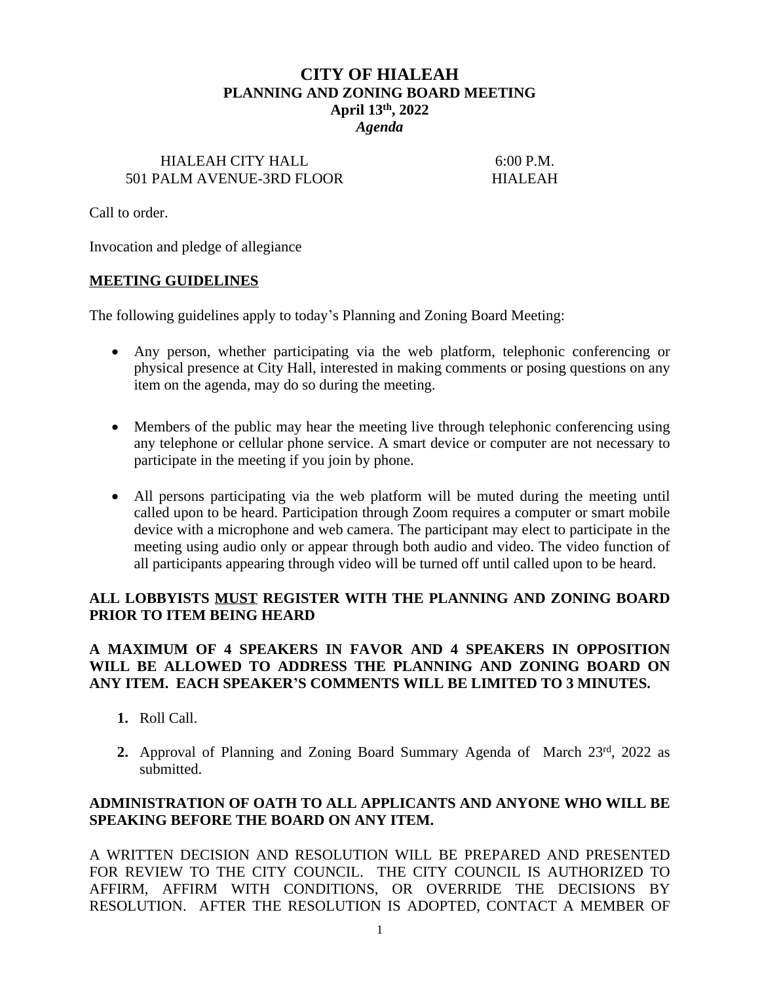# **CITY OF HIALEAH PLANNING AND ZONING BOARD MEETING April 13th, 2022** *Agenda*

#### HIALEAH CITY HALL 6:00 P.M. 501 PALM AVENUE-3RD FLOOR HIALEAH

Call to order.

Invocation and pledge of allegiance

#### **MEETING GUIDELINES**

The following guidelines apply to today's Planning and Zoning Board Meeting:

- Any person, whether participating via the web platform, telephonic conferencing or physical presence at City Hall, interested in making comments or posing questions on any item on the agenda, may do so during the meeting.
- Members of the public may hear the meeting live through telephonic conferencing using any telephone or cellular phone service. A smart device or computer are not necessary to participate in the meeting if you join by phone.
- All persons participating via the web platform will be muted during the meeting until called upon to be heard. Participation through Zoom requires a computer or smart mobile device with a microphone and web camera. The participant may elect to participate in the meeting using audio only or appear through both audio and video. The video function of all participants appearing through video will be turned off until called upon to be heard.

#### **ALL LOBBYISTS MUST REGISTER WITH THE PLANNING AND ZONING BOARD PRIOR TO ITEM BEING HEARD**

### **A MAXIMUM OF 4 SPEAKERS IN FAVOR AND 4 SPEAKERS IN OPPOSITION WILL BE ALLOWED TO ADDRESS THE PLANNING AND ZONING BOARD ON ANY ITEM. EACH SPEAKER'S COMMENTS WILL BE LIMITED TO 3 MINUTES.**

- **1.** Roll Call.
- 2. Approval of Planning and Zoning Board Summary Agenda of March 23rd, 2022 as submitted.

### **ADMINISTRATION OF OATH TO ALL APPLICANTS AND ANYONE WHO WILL BE SPEAKING BEFORE THE BOARD ON ANY ITEM.**

A WRITTEN DECISION AND RESOLUTION WILL BE PREPARED AND PRESENTED FOR REVIEW TO THE CITY COUNCIL. THE CITY COUNCIL IS AUTHORIZED TO AFFIRM, AFFIRM WITH CONDITIONS, OR OVERRIDE THE DECISIONS BY RESOLUTION. AFTER THE RESOLUTION IS ADOPTED, CONTACT A MEMBER OF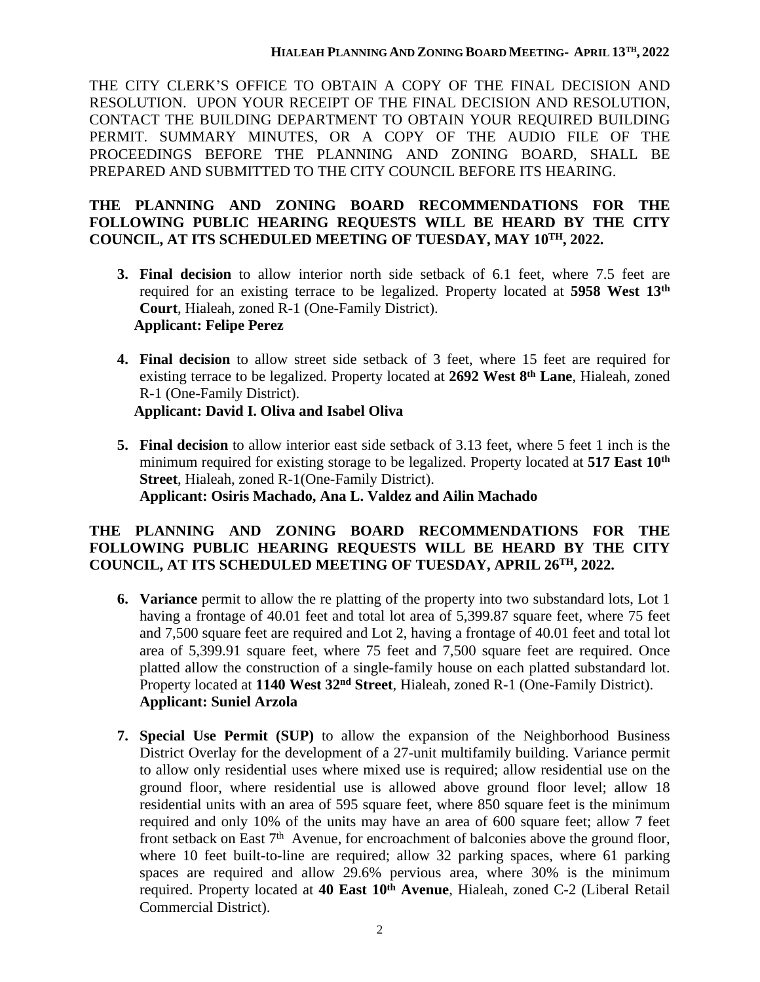THE CITY CLERK'S OFFICE TO OBTAIN A COPY OF THE FINAL DECISION AND RESOLUTION. UPON YOUR RECEIPT OF THE FINAL DECISION AND RESOLUTION, CONTACT THE BUILDING DEPARTMENT TO OBTAIN YOUR REQUIRED BUILDING PERMIT. SUMMARY MINUTES, OR A COPY OF THE AUDIO FILE OF THE PROCEEDINGS BEFORE THE PLANNING AND ZONING BOARD, SHALL BE PREPARED AND SUBMITTED TO THE CITY COUNCIL BEFORE ITS HEARING.

### **THE PLANNING AND ZONING BOARD RECOMMENDATIONS FOR THE FOLLOWING PUBLIC HEARING REQUESTS WILL BE HEARD BY THE CITY COUNCIL, AT ITS SCHEDULED MEETING OF TUESDAY, MAY 10TH, 2022.**

- **3. Final decision** to allow interior north side setback of 6.1 feet, where 7.5 feet are required for an existing terrace to be legalized. Property located at **5958 West 13th Court**, Hialeah, zoned R-1 (One-Family District). **Applicant: Felipe Perez**
- **4. Final decision** to allow street side setback of 3 feet, where 15 feet are required for existing terrace to be legalized. Property located at **2692 West 8 th Lane**, Hialeah, zoned R-1 (One-Family District). **Applicant: David I. Oliva and Isabel Oliva**
- **5. Final decision** to allow interior east side setback of 3.13 feet, where 5 feet 1 inch is the minimum required for existing storage to be legalized. Property located at **517 East 10th Street**, Hialeah, zoned R-1(One-Family District). **Applicant: Osiris Machado, Ana L. Valdez and Ailin Machado**

### **THE PLANNING AND ZONING BOARD RECOMMENDATIONS FOR THE FOLLOWING PUBLIC HEARING REQUESTS WILL BE HEARD BY THE CITY COUNCIL, AT ITS SCHEDULED MEETING OF TUESDAY, APRIL 26TH, 2022.**

- **6. Variance** permit to allow the re platting of the property into two substandard lots, Lot 1 having a frontage of 40.01 feet and total lot area of 5,399.87 square feet, where 75 feet and 7,500 square feet are required and Lot 2, having a frontage of 40.01 feet and total lot area of 5,399.91 square feet, where 75 feet and 7,500 square feet are required. Once platted allow the construction of a single-family house on each platted substandard lot. Property located at **1140 West 32nd Street**, Hialeah, zoned R-1 (One-Family District). **Applicant: Suniel Arzola**
- **7. Special Use Permit (SUP)** to allow the expansion of the Neighborhood Business District Overlay for the development of a 27-unit multifamily building. Variance permit to allow only residential uses where mixed use is required; allow residential use on the ground floor, where residential use is allowed above ground floor level; allow 18 residential units with an area of 595 square feet, where 850 square feet is the minimum required and only 10% of the units may have an area of 600 square feet; allow 7 feet front setback on East 7<sup>th</sup> Avenue, for encroachment of balconies above the ground floor, where 10 feet built-to-line are required; allow 32 parking spaces, where 61 parking spaces are required and allow 29.6% pervious area, where 30% is the minimum required. Property located at **40 East 10th Avenue**, Hialeah, zoned C-2 (Liberal Retail Commercial District).